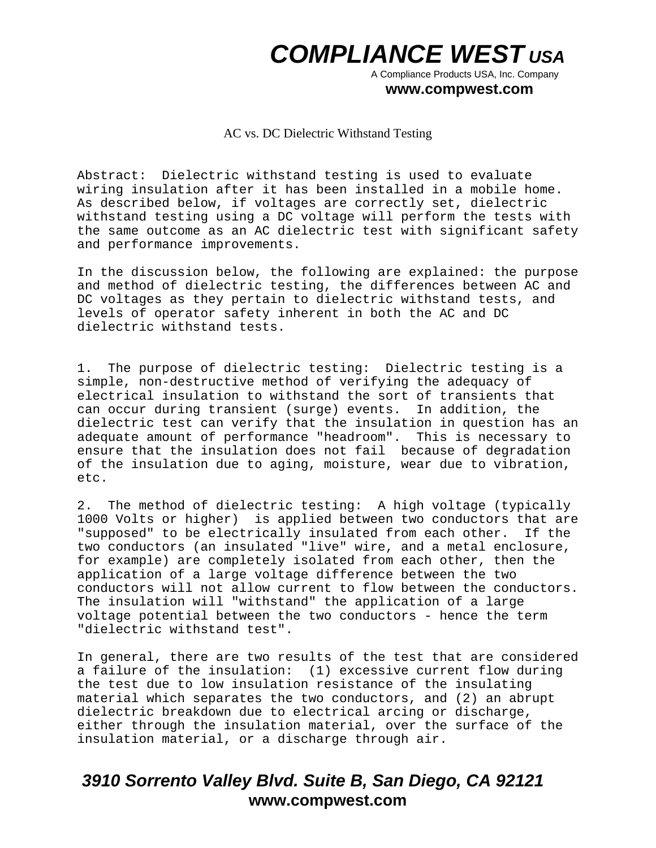A Compliance Products USA, Inc. Company

#### **www.compwest.com**

AC vs. DC Dielectric Withstand Testing

Abstract: Dielectric withstand testing is used to evaluate wiring insulation after it has been installed in a mobile home. As described below, if voltages are correctly set, dielectric withstand testing using a DC voltage will perform the tests with the same outcome as an AC dielectric test with significant safety and performance improvements.

In the discussion below, the following are explained: the purpose and method of dielectric testing, the differences between AC and DC voltages as they pertain to dielectric withstand tests, and levels of operator safety inherent in both the AC and DC dielectric withstand tests.

1. The purpose of dielectric testing: Dielectric testing is a simple, non-destructive method of verifying the adequacy of electrical insulation to withstand the sort of transients that can occur during transient (surge) events. In addition, the dielectric test can verify that the insulation in question has an adequate amount of performance "headroom". This is necessary to ensure that the insulation does not fail because of degradation of the insulation due to aging, moisture, wear due to vibration, etc.

2. The method of dielectric testing: A high voltage (typically 1000 Volts or higher) is applied between two conductors that are "supposed" to be electrically insulated from each other. If the two conductors (an insulated "live" wire, and a metal enclosure, for example) are completely isolated from each other, then the application of a large voltage difference between the two conductors will not allow current to flow between the conductors. The insulation will "withstand" the application of a large voltage potential between the two conductors - hence the term "dielectric withstand test".

In general, there are two results of the test that are considered a failure of the insulation: (1) excessive current flow during the test due to low insulation resistance of the insulating material which separates the two conductors, and (2) an abrupt dielectric breakdown due to electrical arcing or discharge, either through the insulation material, over the surface of the insulation material, or a discharge through air.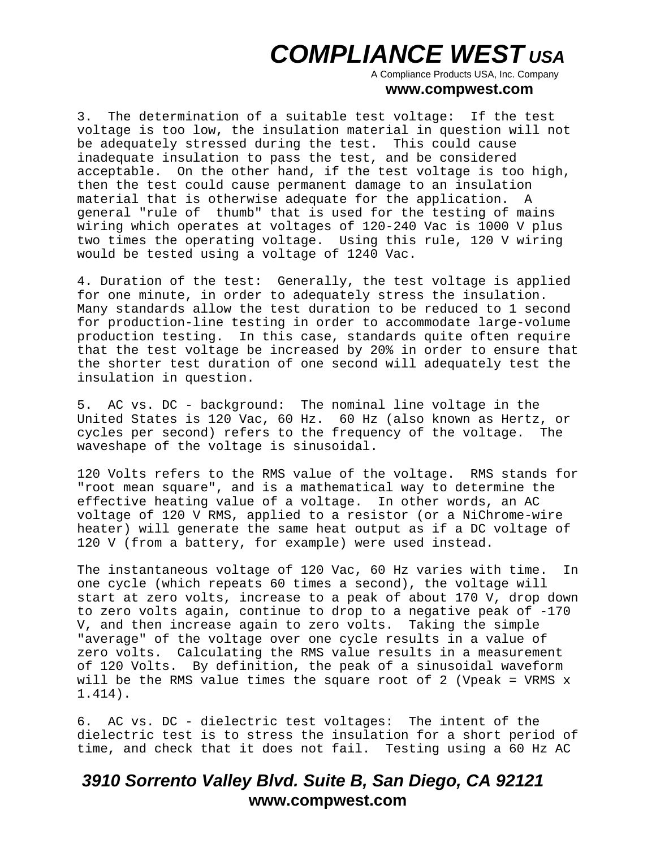A Compliance Products USA, Inc. Company

#### **www.compwest.com**

3. The determination of a suitable test voltage: If the test voltage is too low, the insulation material in question will not be adequately stressed during the test. This could cause inadequate insulation to pass the test, and be considered acceptable. On the other hand, if the test voltage is too high, then the test could cause permanent damage to an insulation material that is otherwise adequate for the application. A general "rule of thumb" that is used for the testing of mains wiring which operates at voltages of 120-240 Vac is 1000 V plus two times the operating voltage. Using this rule, 120 V wiring would be tested using a voltage of 1240 Vac.

4. Duration of the test: Generally, the test voltage is applied for one minute, in order to adequately stress the insulation. Many standards allow the test duration to be reduced to 1 second for production-line testing in order to accommodate large-volume production testing. In this case, standards quite often require that the test voltage be increased by 20% in order to ensure that the shorter test duration of one second will adequately test the insulation in question.

5. AC vs. DC - background: The nominal line voltage in the United States is 120 Vac, 60 Hz. 60 Hz (also known as Hertz, or cycles per second) refers to the frequency of the voltage. The waveshape of the voltage is sinusoidal.

120 Volts refers to the RMS value of the voltage. RMS stands for "root mean square", and is a mathematical way to determine the effective heating value of a voltage. In other words, an AC voltage of 120 V RMS, applied to a resistor (or a NiChrome-wire heater) will generate the same heat output as if a DC voltage of 120 V (from a battery, for example) were used instead.

The instantaneous voltage of 120 Vac, 60 Hz varies with time. In one cycle (which repeats 60 times a second), the voltage will start at zero volts, increase to a peak of about 170 V, drop down to zero volts again, continue to drop to a negative peak of -170 V, and then increase again to zero volts. Taking the simple "average" of the voltage over one cycle results in a value of zero volts. Calculating the RMS value results in a measurement of 120 Volts. By definition, the peak of a sinusoidal waveform will be the RMS value times the square root of 2 (Vpeak = VRMS x 1.414).

6. AC vs. DC - dielectric test voltages: The intent of the dielectric test is to stress the insulation for a short period of time, and check that it does not fail. Testing using a 60 Hz AC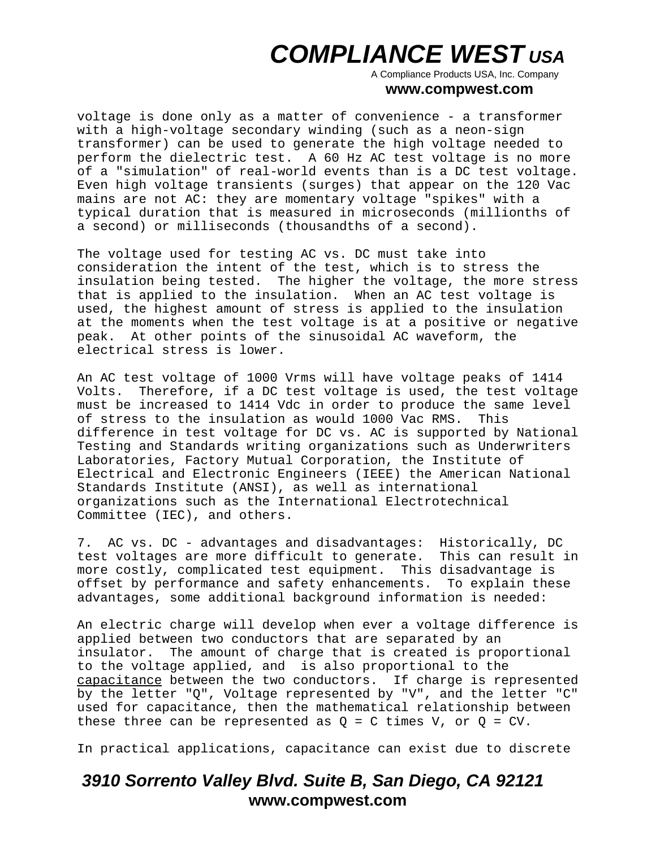A Compliance Products USA, Inc. Company

#### **www.compwest.com**

voltage is done only as a matter of convenience - a transformer with a high-voltage secondary winding (such as a neon-sign transformer) can be used to generate the high voltage needed to perform the dielectric test. A 60 Hz AC test voltage is no more of a "simulation" of real-world events than is a DC test voltage. Even high voltage transients (surges) that appear on the 120 Vac mains are not AC: they are momentary voltage "spikes" with a typical duration that is measured in microseconds (millionths of a second) or milliseconds (thousandths of a second).

The voltage used for testing AC vs. DC must take into consideration the intent of the test, which is to stress the insulation being tested. The higher the voltage, the more stress that is applied to the insulation. When an AC test voltage is used, the highest amount of stress is applied to the insulation at the moments when the test voltage is at a positive or negative peak. At other points of the sinusoidal AC waveform, the electrical stress is lower.

An AC test voltage of 1000 Vrms will have voltage peaks of 1414 Volts. Therefore, if a DC test voltage is used, the test voltage must be increased to 1414 Vdc in order to produce the same level of stress to the insulation as would 1000 Vac RMS. This difference in test voltage for DC vs. AC is supported by National Testing and Standards writing organizations such as Underwriters Laboratories, Factory Mutual Corporation, the Institute of Electrical and Electronic Engineers (IEEE) the American National Standards Institute (ANSI), as well as international organizations such as the International Electrotechnical Committee (IEC), and others.

7. AC vs. DC - advantages and disadvantages: Historically, DC test voltages are more difficult to generate. This can result in more costly, complicated test equipment. This disadvantage is offset by performance and safety enhancements. To explain these advantages, some additional background information is needed:

An electric charge will develop when ever a voltage difference is applied between two conductors that are separated by an insulator. The amount of charge that is created is proportional to the voltage applied, and is also proportional to the capacitance between the two conductors. If charge is represented by the letter "Q", Voltage represented by "V", and the letter "C" used for capacitance, then the mathematical relationship between these three can be represented as  $Q = C$  times V, or  $Q = CV$ .

In practical applications, capacitance can exist due to discrete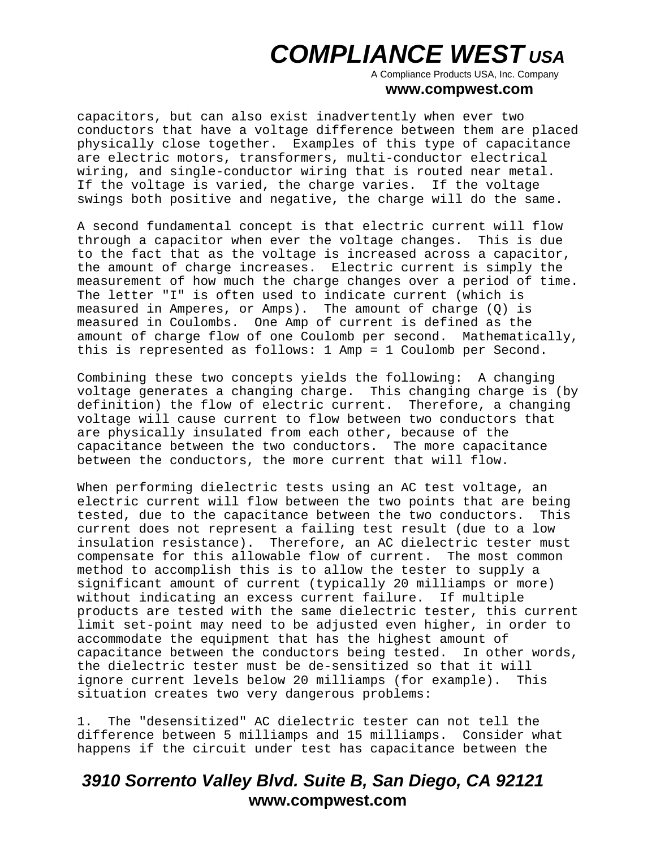A Compliance Products USA, Inc. Company

#### **www.compwest.com**

capacitors, but can also exist inadvertently when ever two conductors that have a voltage difference between them are placed physically close together. Examples of this type of capacitance are electric motors, transformers, multi-conductor electrical wiring, and single-conductor wiring that is routed near metal. If the voltage is varied, the charge varies. If the voltage swings both positive and negative, the charge will do the same.

A second fundamental concept is that electric current will flow through a capacitor when ever the voltage changes. This is due to the fact that as the voltage is increased across a capacitor, the amount of charge increases. Electric current is simply the measurement of how much the charge changes over a period of time. The letter "I" is often used to indicate current (which is measured in Amperes, or Amps). The amount of charge (Q) is measured in Coulombs. One Amp of current is defined as the amount of charge flow of one Coulomb per second. Mathematically, this is represented as follows: 1 Amp = 1 Coulomb per Second.

Combining these two concepts yields the following: A changing voltage generates a changing charge. This changing charge is (by definition) the flow of electric current. Therefore, a changing voltage will cause current to flow between two conductors that are physically insulated from each other, because of the capacitance between the two conductors. The more capacitance between the conductors, the more current that will flow.

When performing dielectric tests using an AC test voltage, an electric current will flow between the two points that are being tested, due to the capacitance between the two conductors. This current does not represent a failing test result (due to a low insulation resistance). Therefore, an AC dielectric tester must compensate for this allowable flow of current. The most common method to accomplish this is to allow the tester to supply a significant amount of current (typically 20 milliamps or more) without indicating an excess current failure. If multiple products are tested with the same dielectric tester, this current limit set-point may need to be adjusted even higher, in order to accommodate the equipment that has the highest amount of capacitance between the conductors being tested. In other words, the dielectric tester must be de-sensitized so that it will ignore current levels below 20 milliamps (for example). This situation creates two very dangerous problems:

1. The "desensitized" AC dielectric tester can not tell the difference between 5 milliamps and 15 milliamps. Consider what happens if the circuit under test has capacitance between the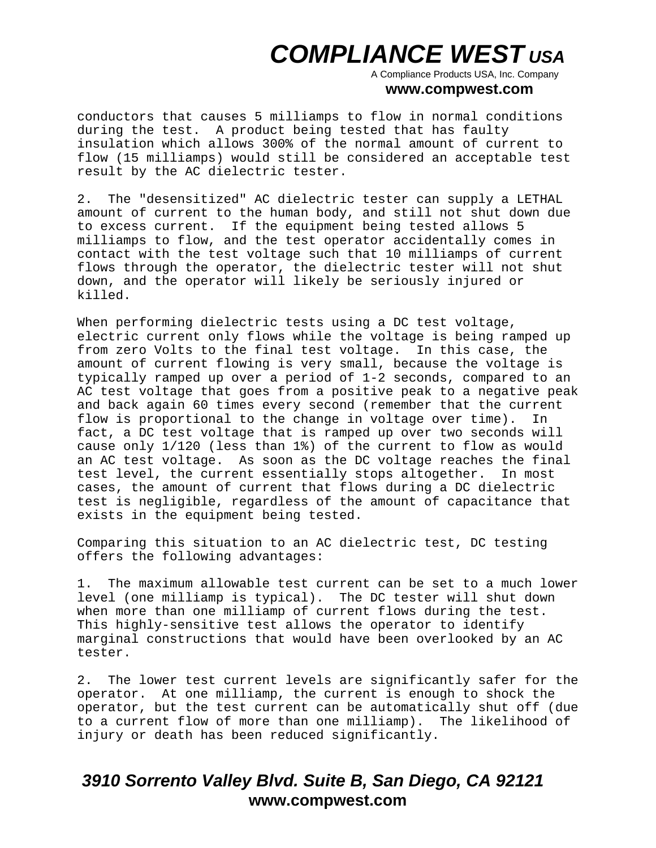A Compliance Products USA, Inc. Company

#### **www.compwest.com**

conductors that causes 5 milliamps to flow in normal conditions during the test. A product being tested that has faulty insulation which allows 300% of the normal amount of current to flow (15 milliamps) would still be considered an acceptable test result by the AC dielectric tester.

2. The "desensitized" AC dielectric tester can supply a LETHAL amount of current to the human body, and still not shut down due to excess current. If the equipment being tested allows 5 milliamps to flow, and the test operator accidentally comes in contact with the test voltage such that 10 milliamps of current flows through the operator, the dielectric tester will not shut down, and the operator will likely be seriously injured or killed.

When performing dielectric tests using a DC test voltage, electric current only flows while the voltage is being ramped up from zero Volts to the final test voltage. In this case, the amount of current flowing is very small, because the voltage is typically ramped up over a period of 1-2 seconds, compared to an AC test voltage that goes from a positive peak to a negative peak and back again 60 times every second (remember that the current flow is proportional to the change in voltage over time). In fact, a DC test voltage that is ramped up over two seconds will cause only 1/120 (less than 1%) of the current to flow as would an AC test voltage. As soon as the DC voltage reaches the final test level, the current essentially stops altogether. In most cases, the amount of current that flows during a DC dielectric test is negligible, regardless of the amount of capacitance that exists in the equipment being tested.

Comparing this situation to an AC dielectric test, DC testing offers the following advantages:

1. The maximum allowable test current can be set to a much lower level (one milliamp is typical). The DC tester will shut down when more than one milliamp of current flows during the test. This highly-sensitive test allows the operator to identify marginal constructions that would have been overlooked by an AC tester.

2. The lower test current levels are significantly safer for the operator. At one milliamp, the current is enough to shock the operator, but the test current can be automatically shut off (due to a current flow of more than one milliamp). The likelihood of injury or death has been reduced significantly.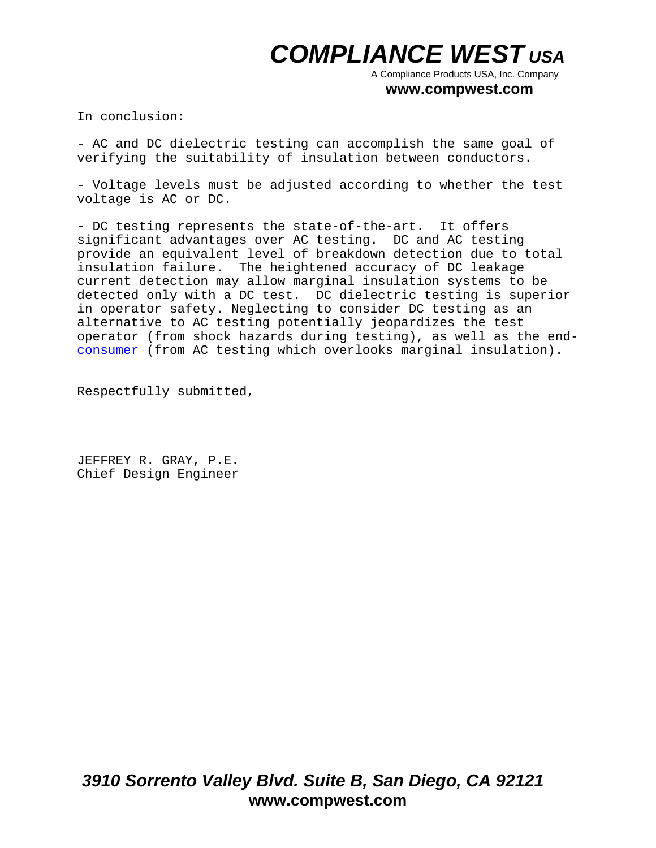A Compliance Products USA, Inc. Company

#### **www.compwest.com**

In conclusion:

- AC and DC dielectric testing can accomplish the same goal of verifying the suitability of insulation between conductors.

- Voltage levels must be adjusted according to whether the test voltage is AC or DC.

- DC testing represents the state-of-the-art. It offers significant advantages over AC testing. DC and AC testing provide an equivalent level of breakdown detection due to total insulation failure. The heightened accuracy of DC leakage current detection may allow marginal insulation systems to be detected only with a DC test. DC dielectric testing is superior in operator safety. Neglecting to consider DC testing as an alternative to AC testing potentially jeopardizes the test operator (from shock hazards during testing), as well as the endconsumer (from AC testing which overlooks marginal insulation).

Respectfully submitted,

JEFFREY R. GRAY, P.E. Chief Design Engineer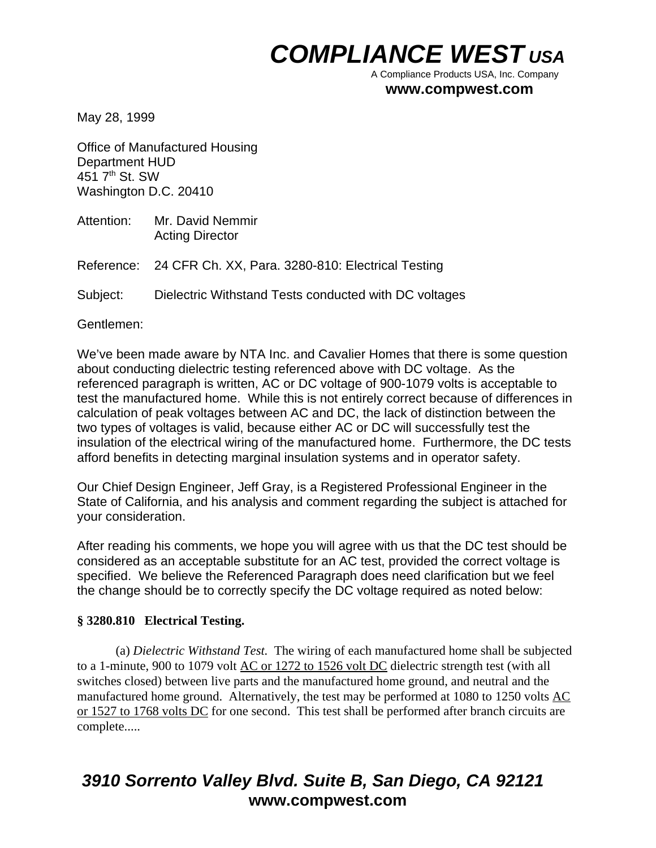A Compliance Products USA, Inc. Company

### **www.compwest.com**

May 28, 1999

Office of Manufactured Housing Department HUD 451 7<sup>th</sup> St. SW Washington D.C. 20410

Attention: Mr. David Nemmir Acting Director

Reference: 24 CFR Ch. XX, Para. 3280-810: Electrical Testing

Subject: Dielectric Withstand Tests conducted with DC voltages

Gentlemen:

We've been made aware by NTA Inc. and Cavalier Homes that there is some question about conducting dielectric testing referenced above with DC voltage. As the referenced paragraph is written, AC or DC voltage of 900-1079 volts is acceptable to test the manufactured home. While this is not entirely correct because of differences in calculation of peak voltages between AC and DC, the lack of distinction between the two types of voltages is valid, because either AC or DC will successfully test the insulation of the electrical wiring of the manufactured home. Furthermore, the DC tests afford benefits in detecting marginal insulation systems and in operator safety.

Our Chief Design Engineer, Jeff Gray, is a Registered Professional Engineer in the State of California, and his analysis and comment regarding the subject is attached for your consideration.

After reading his comments, we hope you will agree with us that the DC test should be considered as an acceptable substitute for an AC test, provided the correct voltage is specified. We believe the Referenced Paragraph does need clarification but we feel the change should be to correctly specify the DC voltage required as noted below:

### **§ 3280.810 Electrical Testing.**

(a) *Dielectric Withstand Test.* The wiring of each manufactured home shall be subjected to a 1-minute, 900 to 1079 volt AC or 1272 to 1526 volt DC dielectric strength test (with all switches closed) between live parts and the manufactured home ground, and neutral and the manufactured home ground. Alternatively, the test may be performed at 1080 to 1250 volts AC or 1527 to 1768 volts DC for one second. This test shall be performed after branch circuits are complete.....